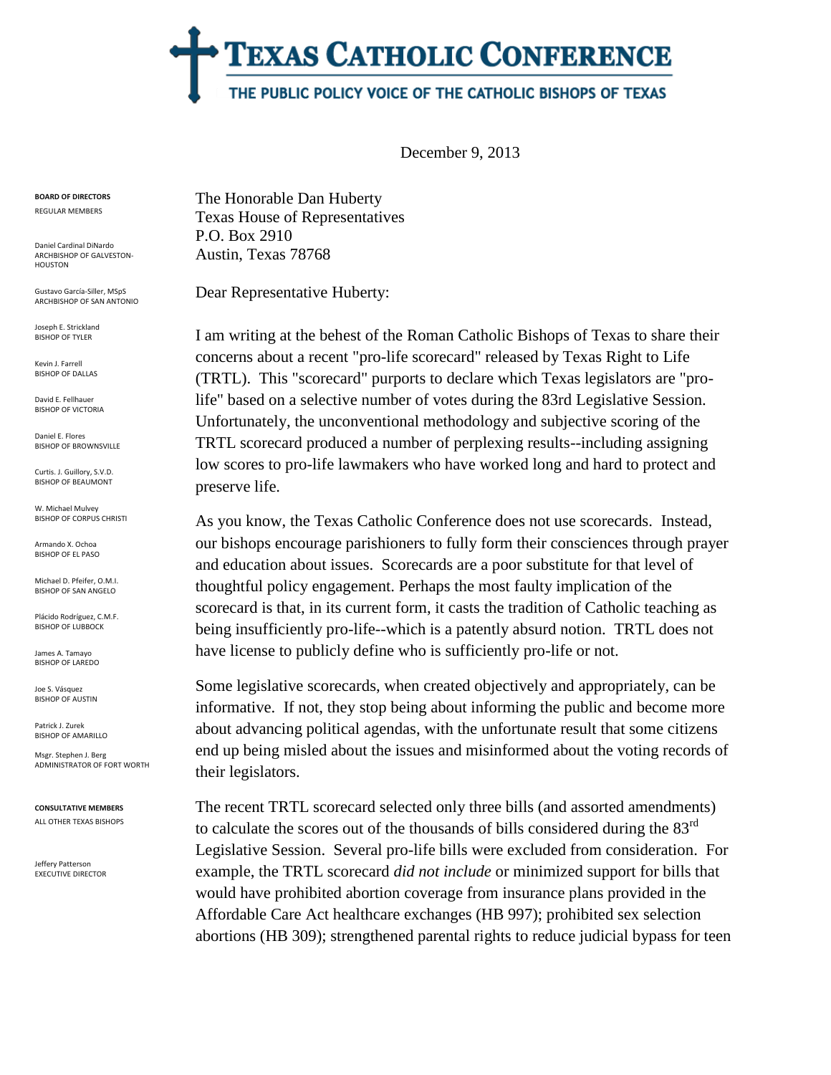## **TEXAS CATHOLIC CONFERENCE** THE PUBLIC POLICY VOICE OF THE CATHOLIC BISHOPS OF TEXAS

December 9, 2013

**BOARD OF DIRECTORS** REGULAR MEMBERS

Daniel Cardinal DiNardo ARCHBISHOP OF GALVESTON-HOUSTON

Gustavo García-Siller, MSpS ARCHBISHOP OF SAN ANTONIO

Joseph E. Strickland BISHOP OF TYLER

Kevin J. Farrell BISHOP OF DALLAS

David E. Fellhauer BISHOP OF VICTORIA

Daniel E. Flores BISHOP OF BROWNSVILLE

Curtis. J. Guillory, S.V.D. BISHOP OF BEAUMONT

W. Michael Mulvey BISHOP OF CORPUS CHRISTI

Armando X. Ochoa BISHOP OF EL PASO

Michael D. Pfeifer, O.M.I. BISHOP OF SAN ANGELO

Plácido Rodríguez, C.M.F. BISHOP OF LUBBOCK

James A. Tamayo BISHOP OF LAREDO

Joe S. Vásquez BISHOP OF AUSTIN

Patrick J. Zurek BISHOP OF AMARILLO

Msgr. Stephen J. Berg ADMINISTRATOR OF FORT WORTH

**CONSULTATIVE MEMBERS** ALL OTHER TEXAS BISHOPS

Jeffery Patterson EXECUTIVE DIRECTOR The Honorable Dan Huberty Texas House of Representatives P.O. Box 2910 Austin, Texas 78768

Dear Representative Huberty:

I am writing at the behest of the Roman Catholic Bishops of Texas to share their concerns about a recent "pro-life scorecard" released by Texas Right to Life (TRTL). This "scorecard" purports to declare which Texas legislators are "prolife" based on a selective number of votes during the 83rd Legislative Session. Unfortunately, the unconventional methodology and subjective scoring of the TRTL scorecard produced a number of perplexing results--including assigning low scores to pro-life lawmakers who have worked long and hard to protect and preserve life.

As you know, the Texas Catholic Conference does not use scorecards. Instead, our bishops encourage parishioners to fully form their consciences through prayer and education about issues. Scorecards are a poor substitute for that level of thoughtful policy engagement. Perhaps the most faulty implication of the scorecard is that, in its current form, it casts the tradition of Catholic teaching as being insufficiently pro-life--which is a patently absurd notion. TRTL does not have license to publicly define who is sufficiently pro-life or not.

Some legislative scorecards, when created objectively and appropriately, can be informative. If not, they stop being about informing the public and become more about advancing political agendas, with the unfortunate result that some citizens end up being misled about the issues and misinformed about the voting records of their legislators.

The recent TRTL scorecard selected only three bills (and assorted amendments) to calculate the scores out of the thousands of bills considered during the  $83<sup>rd</sup>$ Legislative Session. Several pro-life bills were excluded from consideration. For example, the TRTL scorecard *did not include* or minimized support for bills that would have prohibited abortion coverage from insurance plans provided in the Affordable Care Act healthcare exchanges (HB 997); prohibited sex selection abortions (HB 309); strengthened parental rights to reduce judicial bypass for teen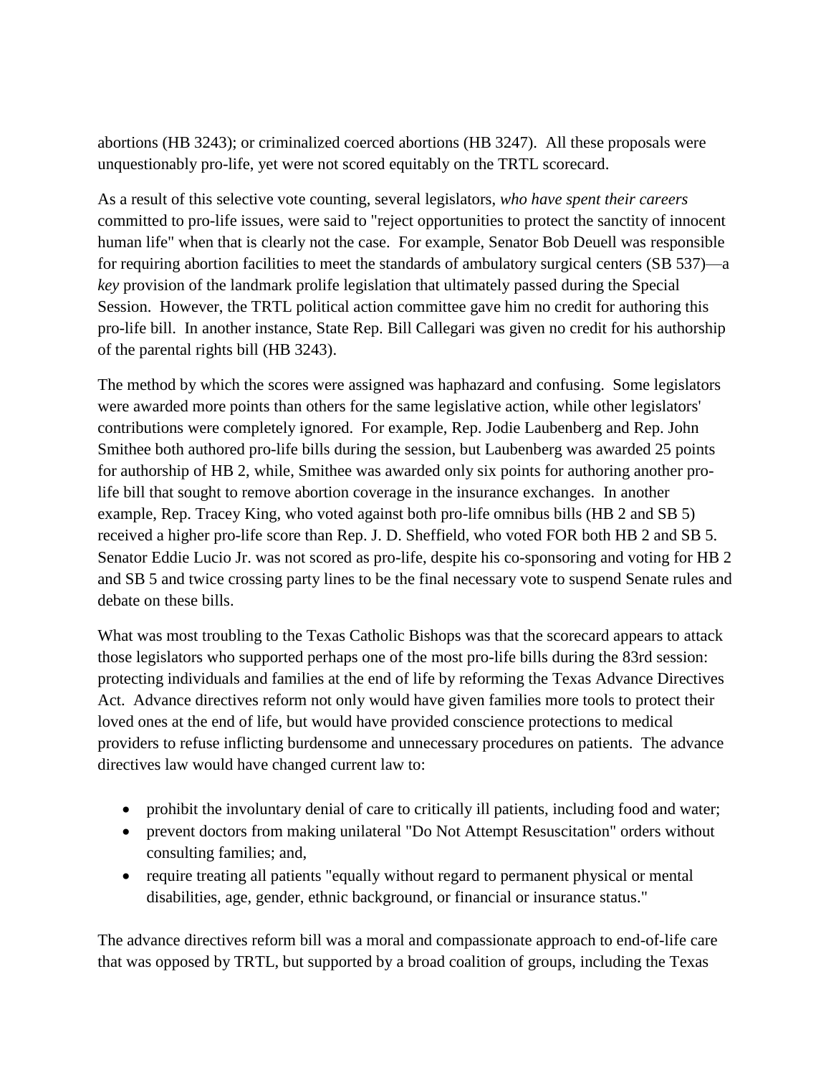abortions (HB 3243); or criminalized coerced abortions (HB 3247). All these proposals were unquestionably pro-life, yet were not scored equitably on the TRTL scorecard.

As a result of this selective vote counting, several legislators, *who have spent their careers*  committed to pro-life issues*,* were said to "reject opportunities to protect the sanctity of innocent human life" when that is clearly not the case. For example, Senator Bob Deuell was responsible for requiring abortion facilities to meet the standards of ambulatory surgical centers (SB 537)—a *key* provision of the landmark prolife legislation that ultimately passed during the Special Session. However, the TRTL political action committee gave him no credit for authoring this pro-life bill. In another instance, State Rep. Bill Callegari was given no credit for his authorship of the parental rights bill (HB 3243).

The method by which the scores were assigned was haphazard and confusing. Some legislators were awarded more points than others for the same legislative action, while other legislators' contributions were completely ignored. For example, Rep. Jodie Laubenberg and Rep. John Smithee both authored pro-life bills during the session, but Laubenberg was awarded 25 points for authorship of HB 2, while, Smithee was awarded only six points for authoring another prolife bill that sought to remove abortion coverage in the insurance exchanges. In another example, Rep. Tracey King, who voted against both pro-life omnibus bills (HB 2 and SB 5) received a higher pro-life score than Rep. J. D. Sheffield, who voted FOR both HB 2 and SB 5. Senator Eddie Lucio Jr. was not scored as pro-life, despite his co-sponsoring and voting for HB 2 and SB 5 and twice crossing party lines to be the final necessary vote to suspend Senate rules and debate on these bills.

What was most troubling to the Texas Catholic Bishops was that the scorecard appears to attack those legislators who supported perhaps one of the most pro-life bills during the 83rd session: protecting individuals and families at the end of life by reforming the Texas Advance Directives Act. Advance directives reform not only would have given families more tools to protect their loved ones at the end of life, but would have provided conscience protections to medical providers to refuse inflicting burdensome and unnecessary procedures on patients. The advance directives law would have changed current law to:

- prohibit the involuntary denial of care to critically ill patients, including food and water;
- prevent doctors from making unilateral "Do Not Attempt Resuscitation" orders without consulting families; and,
- require treating all patients "equally without regard to permanent physical or mental disabilities, age, gender, ethnic background, or financial or insurance status."

The advance directives reform bill was a moral and compassionate approach to end-of-life care that was opposed by TRTL, but supported by a broad coalition of groups, including the Texas